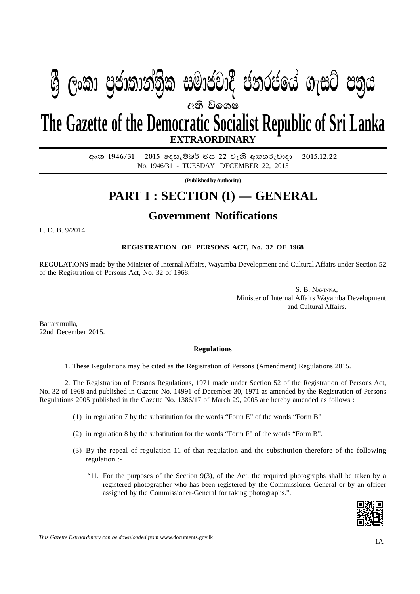# ශුී ලංකා පුජාතාන්තික සමාජවාදී ජනරජයේ ගැසට් පතුය අති විශෙෂ The Gazette of the Democratic Socialist Republic of Sri Lanka

**EXTRAORDINARY** 

<u> අංක 1946/31 - 2015 දෙසැම්බර් මස 22 වැනි අඟහරුවාදා - 2015.12.22</u> No. 1946/31 - TUESDAY DECEMBER 22, 2015

(Published by Authority)

# **PART I: SECTION (I) - GENERAL**

## **Government Notifications**

L. D. B. 9/2014.

REGISTRATION OF PERSONS ACT, No. 32 OF 1968

REGULATIONS made by the Minister of Internal Affairs, Wayamba Development and Cultural Affairs under Section 52 of the Registration of Persons Act, No. 32 of 1968.

> S. B. NAVINNA, Minister of Internal Affairs Wayamba Development and Cultural Affairs.

Battaramulla. 22nd December 2015.

#### **Regulations**

1. These Regulations may be cited as the Registration of Persons (Amendment) Regulations 2015.

2. The Registration of Persons Regulations, 1971 made under Section 52 of the Registration of Persons Act, No. 32 of 1968 and published in Gazette No. 14991 of December 30, 1971 as amended by the Registration of Persons Regulations 2005 published in the Gazette No. 1386/17 of March 29, 2005 are hereby amended as follows:

- (1) in regulation 7 by the substitution for the words "Form E" of the words "Form B"
- (2) in regulation 8 by the substitution for the words "Form F" of the words "Form B".
- (3) By the repeal of regulation 11 of that regulation and the substitution therefore of the following regulation :-
	- "11. For the purposes of the Section 9(3), of the Act, the required photographs shall be taken by a registered photographer who has been registered by the Commissioner-General or by an officer assigned by the Commissioner-General for taking photographs.".



This Gazette Extraordinary can be downloaded from www.documents.gov.lk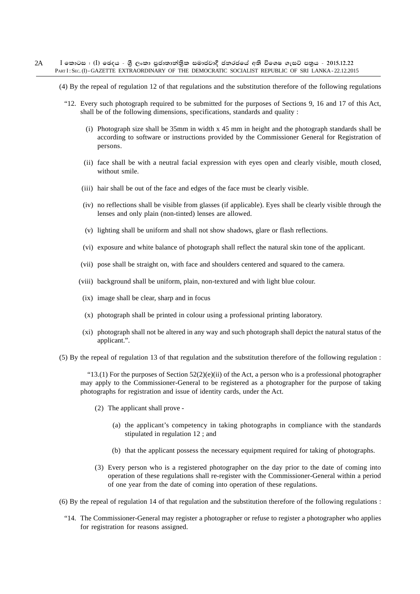- $I$  කොටස : (I) ඡෙදය ශීූ ලංකා පුජාතාන්තිුක සමාජවාදී ජනරජයේ අති විශෙෂ ගැසට් පතුය 2015.12.22 PART I: SEC. (I) - GAZETTE EXTRAORDINARY OF THE DEMOCRATIC SOCIALIST REPUBLIC OF SRI LANKA - 22.12.2015 2A
	- (4) By the repeal of regulation 12 of that regulations and the substitution therefore of the following regulations
		- "12. Every such photograph required to be submitted for the purposes of Sections 9, 16 and 17 of this Act, shall be of the following dimensions, specifications, standards and quality :
			- (i) Photograph size shall be 35mm in width x 45 mm in height and the photograph standards shall be according to software or instructions provided by the Commissioner General for Registration of persons.
			- (ii) face shall be with a neutral facial expression with eyes open and clearly visible, mouth closed, without smile.
			- (iii) hair shall be out of the face and edges of the face must be clearly visible.
			- (iv) no reflections shall be visible from glasses (if applicable). Eyes shall be clearly visible through the lenses and only plain (non-tinted) lenses are allowed.
			- (v) lighting shall be uniform and shall not show shadows, glare or flash reflections.
			- (vi) exposure and white balance of photograph shall reflect the natural skin tone of the applicant.
			- (vii) pose shall be straight on, with face and shoulders centered and squared to the camera.
			- (viii) background shall be uniform, plain, non-textured and with light blue colour.
			- (ix) image shall be clear, sharp and in focus
			- (x) photograph shall be printed in colour using a professional printing laboratory.
			- (xi) photograph shall not be altered in any way and such photograph shall depict the natural status of the applicant.".
	- (5) By the repeal of regulation 13 of that regulation and the substitution therefore of the following regulation :

"13.(1) For the purposes of Section  $52(2)(e)(ii)$  of the Act, a person who is a professional photographer may apply to the Commissioner-General to be registered as a photographer for the purpose of taking photographs for registration and issue of identity cards, under the Act.

- (2) The applicant shall prove
	- (a) the applicant's competency in taking photographs in compliance with the standards stipulated in regulation 12 ; and
	- (b) that the applicant possess the necessary equipment required for taking of photographs.
- (3) Every person who is a registered photographer on the day prior to the date of coming into operation of these regulations shall re-register with the Commissioner-General within a period of one year from the date of coming into operation of these regulations.
- (6) By the repeal of regulation 14 of that regulation and the substitution therefore of the following regulations :
	- "14. The Commissioner-General may register a photographer or refuse to register a photographer who applies for registration for reasons assigned.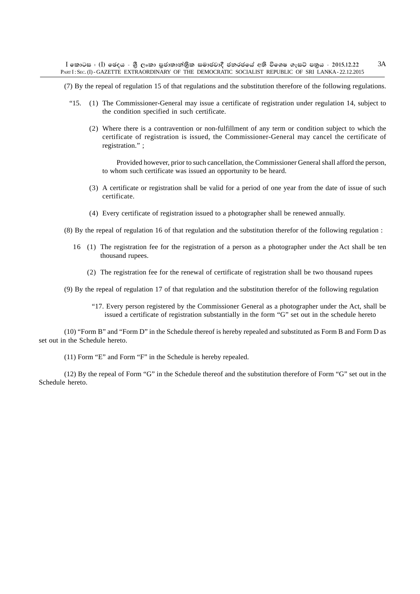(7) By the repeal of regulation 15 of that regulations and the substitution therefore of the following regulations.

- "15. (1) The Commissioner-General may issue a certificate of registration under regulation 14, subject to the condition specified in such certificate.
	- (2) Where there is a contravention or non-fulfillment of any term or condition subject to which the certificate of registration is issued, the Commissioner-General may cancel the certificate of registration." ;

Provided however, prior to such cancellation, the Commissioner General shall afford the person, to whom such certificate was issued an opportunity to be heard.

- (3) A certificate or registration shall be valid for a period of one year from the date of issue of such certificate.
- (4) Every certificate of registration issued to a photographer shall be renewed annually.

(8) By the repeal of regulation 16 of that regulation and the substitution therefor of the following regulation :

- 16 (1) The registration fee for the registration of a person as a photographer under the Act shall be ten thousand rupees.
	- (2) The registration fee for the renewal of certificate of registration shall be two thousand rupees

(9) By the repeal of regulation 17 of that regulation and the substitution therefor of the following regulation

"17. Every person registered by the Commissioner General as a photographer under the Act, shall be issued a certificate of registration substantially in the form "G" set out in the schedule hereto

(10) "Form B" and "Form D" in the Schedule thereof is hereby repealed and substituted as Form B and Form D as set out in the Schedule hereto.

(11) Form "E" and Form "F" in the Schedule is hereby repealed.

(12) By the repeal of Form "G" in the Schedule thereof and the substitution therefore of Form "G" set out in the Schedule hereto.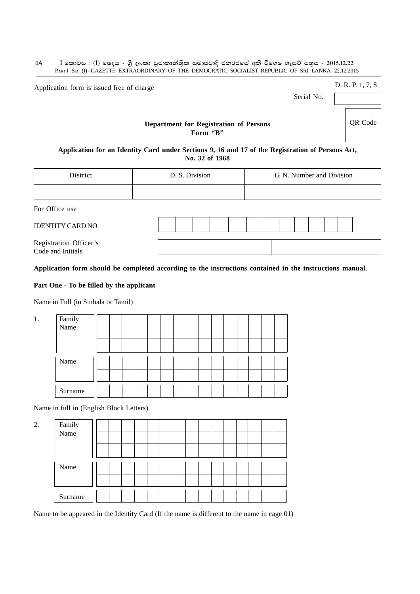$I$  කොටස : (I) ඡෙදය - ශීූ ලංකා පුජාතාන්තිුක සමාජවාදී ජනරජයේ අති විශෙෂ ගැසට් පතුය - 2015.12.22 PART I: SEC. (I) - GAZETTE EXTRAORDINARY OF THE DEMOCRATIC SOCIALIST REPUBLIC OF SRI LANKA - 22.12.2015 4A

Application form is issued free of charge D. R. P. 1, 7, 8

Serial No.

QR Code

#### **Department for Registration of Persons Form "B"**

**Application for an Identity Card under Sections 9, 16 and 17 of the Registration of Persons Act, No. 32 of 1968**

| District                  | D. S. Division | G. N. Number and Division |
|---------------------------|----------------|---------------------------|
|                           |                |                           |
| $E_{\alpha r}$ Office use |                |                           |

For Office use

| IDENTITY CARD NO.                           |  |  |  |  |  |  |  |
|---------------------------------------------|--|--|--|--|--|--|--|
| Registration Officer's<br>Code and Initials |  |  |  |  |  |  |  |

#### **Application form should be completed according to the instructions contained in the instructions manual.**

#### **Part One - To be filled by the applicant**

Name in Full (in Sinhala or Tamil)

| 1. | Family<br>Name |  |  |  |  |  |  |  |  |
|----|----------------|--|--|--|--|--|--|--|--|
|    |                |  |  |  |  |  |  |  |  |
|    |                |  |  |  |  |  |  |  |  |
|    |                |  |  |  |  |  |  |  |  |
|    | Name           |  |  |  |  |  |  |  |  |
|    |                |  |  |  |  |  |  |  |  |
|    |                |  |  |  |  |  |  |  |  |
|    | Surname        |  |  |  |  |  |  |  |  |
|    |                |  |  |  |  |  |  |  |  |

Name in full in (English Block Letters)

| Name    |                |  |  |  |  |  |  |  |
|---------|----------------|--|--|--|--|--|--|--|
|         |                |  |  |  |  |  |  |  |
|         |                |  |  |  |  |  |  |  |
| Surname |                |  |  |  |  |  |  |  |
|         | Family<br>Name |  |  |  |  |  |  |  |

Name to be appeared in the Identity Card (If the name is different to the name in cage 01)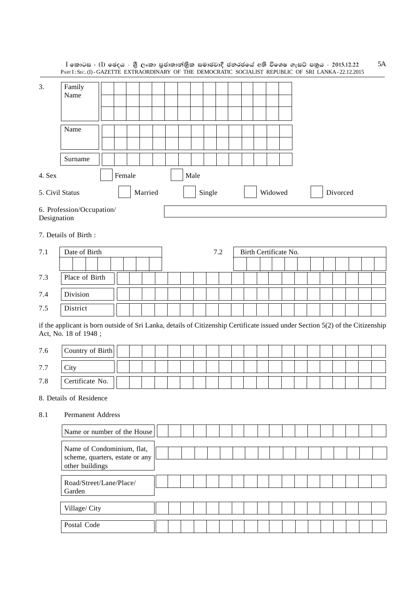|             | PARTI: SEC. (I) - GAZETTE EXTRAORDINARY OF THE DEMOCRATIC SOCIALIST REPUBLIC OF SRI LANKA - 22.12.2015                                                 |        |         |  |      |        |         |                       |         |  |  |          |  |  |
|-------------|--------------------------------------------------------------------------------------------------------------------------------------------------------|--------|---------|--|------|--------|---------|-----------------------|---------|--|--|----------|--|--|
| 3.          | Family<br>Name                                                                                                                                         |        |         |  |      |        |         |                       |         |  |  |          |  |  |
|             | Name                                                                                                                                                   |        |         |  |      |        |         |                       |         |  |  |          |  |  |
|             | Surname                                                                                                                                                |        |         |  |      |        |         |                       |         |  |  |          |  |  |
| 4. Sex      |                                                                                                                                                        | Female |         |  | Male |        |         |                       |         |  |  |          |  |  |
|             | 5. Civil Status                                                                                                                                        |        | Married |  |      | Single |         |                       | Widowed |  |  | Divorced |  |  |
| Designation | 6. Profession/Occupation/                                                                                                                              |        |         |  |      |        |         |                       |         |  |  |          |  |  |
|             | 7. Details of Birth:                                                                                                                                   |        |         |  |      |        |         |                       |         |  |  |          |  |  |
| 7.1         | Date of Birth                                                                                                                                          |        |         |  |      |        | $7.2\,$ | Birth Certificate No. |         |  |  |          |  |  |
|             |                                                                                                                                                        |        |         |  |      |        |         |                       |         |  |  |          |  |  |
| 7.3         | Place of Birth                                                                                                                                         |        |         |  |      |        |         |                       |         |  |  |          |  |  |
| 7.4         | Division                                                                                                                                               |        |         |  |      |        |         |                       |         |  |  |          |  |  |
| 7.5         | District                                                                                                                                               |        |         |  |      |        |         |                       |         |  |  |          |  |  |
|             | if the applicant is born outside of Sri Lanka, details of Citizenship Certificate issued under Section 5(2) of the Citizenship<br>Act, No. 18 of 1948; |        |         |  |      |        |         |                       |         |  |  |          |  |  |
| 7.6         | Country of Birth                                                                                                                                       |        |         |  |      |        |         |                       |         |  |  |          |  |  |
| 7.7         | City                                                                                                                                                   |        |         |  |      |        |         |                       |         |  |  |          |  |  |
| 7.8         | Certificate No.                                                                                                                                        |        |         |  |      |        |         |                       |         |  |  |          |  |  |
|             | 8. Details of Residence                                                                                                                                |        |         |  |      |        |         |                       |         |  |  |          |  |  |
| 8.1         | <b>Permanent Address</b>                                                                                                                               |        |         |  |      |        |         |                       |         |  |  |          |  |  |
|             | Name or number of the House                                                                                                                            |        |         |  |      |        |         |                       |         |  |  |          |  |  |
|             | Name of Condominium, flat,<br>scheme, quarters, estate or any<br>other buildings                                                                       |        |         |  |      |        |         |                       |         |  |  |          |  |  |
|             | Road/Street/Lane/Place/<br>Garden                                                                                                                      |        |         |  |      |        |         |                       |         |  |  |          |  |  |
|             | Village/ City                                                                                                                                          |        |         |  |      |        |         |                       |         |  |  |          |  |  |
|             | Postal Code                                                                                                                                            |        |         |  |      |        |         |                       |         |  |  |          |  |  |
|             |                                                                                                                                                        |        |         |  |      |        |         |                       |         |  |  |          |  |  |

I කොටස : (I) ඡෙදය - ශුී ලංකා පුජාතාන්තිුක සමාජවාදී ජනරජයේ අති විශෙෂ ගැසට් පතුය - 2015.12.22 5A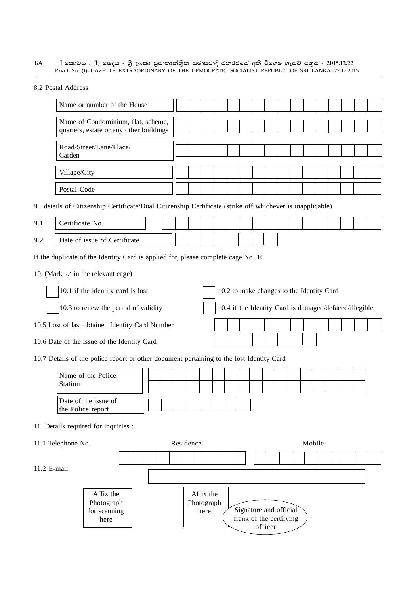$I$  කොටස : (I) ඡෙදය - ශුී ලංකා පුජාතාන්තුික සමාජවාදී ජනරජයේ අති විශෙෂ ගැසට් පතුය - 2015.12.22 PART I: SEC. (I) - GAZETTE EXTRAORDINARY OF THE DEMOCRATIC SOCIALIST REPUBLIC OF SRI LANKA - 22.12.2015 6A

8.2 Postal Address

| Name or number of the House                                                   |  |  |  |  |  |  |  |  |
|-------------------------------------------------------------------------------|--|--|--|--|--|--|--|--|
| Name of Condominium, flat, scheme,<br>quarters, estate or any other buildings |  |  |  |  |  |  |  |  |
| Road/Street/Lane/Place/<br>Carden                                             |  |  |  |  |  |  |  |  |
| Village/City                                                                  |  |  |  |  |  |  |  |  |
| Postal Code                                                                   |  |  |  |  |  |  |  |  |

9. details of Citizenship Certificate/Dual Citizenship Certificate (strike off whichever is inapplicable)

| 9.1 | Certificate No.              |  |  |  |  |  |  |  |  |  |
|-----|------------------------------|--|--|--|--|--|--|--|--|--|
| 9.2 | Date of issue of Certificate |  |  |  |  |  |  |  |  |  |

If the duplicate of the Identity Card is applied for, please complete cage No. 10

10. (Mark  $\checkmark$  in the relevant cage)

10.1 if the identity card is lost 10.2 to make changes to the Identity Card 10.3 to renew the period of validity 10.4 if the Identity Card is damaged/defaced/illegible

10.5 Lost of last obtained Identity Card Number

here

10.6 Date of the issue of the Identity Card

10.7 Details of the police report or other document pertaining to the lost Identity Card

| Station                              | Name of the Police                        |  |  |            |                   |  |                        |  |        |  |  |  |
|--------------------------------------|-------------------------------------------|--|--|------------|-------------------|--|------------------------|--|--------|--|--|--|
|                                      | Date of the issue of<br>the Police report |  |  |            |                   |  |                        |  |        |  |  |  |
| 11. Details required for inquiries : |                                           |  |  |            |                   |  |                        |  |        |  |  |  |
| 11.1 Telephone No.                   |                                           |  |  | Residence  |                   |  |                        |  | Mobile |  |  |  |
| 11.2 E-mail                          |                                           |  |  |            |                   |  |                        |  |        |  |  |  |
|                                      | Affix the<br>Photograph<br>for scanning   |  |  | Photograph | Affix the<br>here |  | Signature and official |  |        |  |  |  |

frank of the certifying officer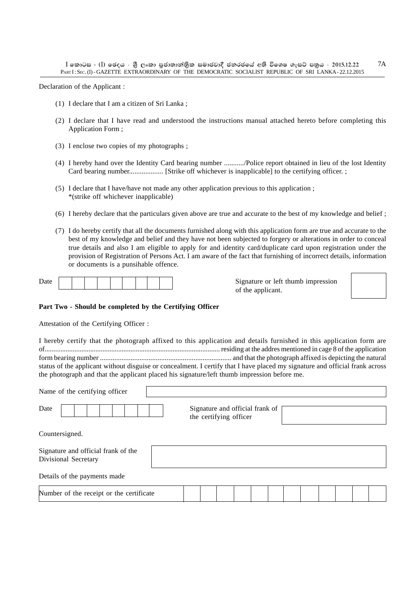Declaration of the Applicant :

- (1) I declare that I am a citizen of Sri Lanka ;
- (2) I declare that I have read and understood the instructions manual attached hereto before completing this Application Form ;
- (3) I enclose two copies of my photographs ;
- (4) I hereby hand over the Identity Card bearing number .........../Police report obtained in lieu of the lost Identity Card bearing number................... [Strike off whichever is inapplicable] to the certifying officer. ;
- (5) I declare that I have/have not made any other application previous to this application ; \*(strike off whichever inapplicable)
- (6) I hereby declare that the particulars given above are true and accurate to the best of my knowledge and belief ;
- (7) I do hereby certify that all the documents furnished along with this application form are true and accurate to the best of my knowledge and belief and they have not been subjected to forgery or alterations in order to conceal true details and also I am eligible to apply for and identity card/duplicate card upon registration under the provision of Registration of Persons Act. I am aware of the fact that furnishing of incorrect details, information or documents is a punsihable offence.

|--|

Signature or left thumb impression of the applicant.



#### **Part Two - Should be completed by the Certifying Officer**

Attestation of the Certifying Officer :

I hereby certify that the photograph affixed to this application and details furnished in this application form are of.................................................................................................... residing at the addres mentioned in cage 8 of the application form bearing number ......................................................................... and that the photograph affixed is depicting the natural status of the applicant without disguise or concealment. I certify that I have placed my signature and official frank across the photograph and that the applicant placed his signature/left thumb impression before me.

| Name of the certifying officer                              |  |  |  |  |  |                        |  |                                 |  |  |  |  |
|-------------------------------------------------------------|--|--|--|--|--|------------------------|--|---------------------------------|--|--|--|--|
| Date                                                        |  |  |  |  |  | the certifying officer |  | Signature and official frank of |  |  |  |  |
| Countersigned.                                              |  |  |  |  |  |                        |  |                                 |  |  |  |  |
| Signature and official frank of the<br>Divisional Secretary |  |  |  |  |  |                        |  |                                 |  |  |  |  |
| Details of the payments made                                |  |  |  |  |  |                        |  |                                 |  |  |  |  |
| Number of the receipt or the certificate                    |  |  |  |  |  |                        |  |                                 |  |  |  |  |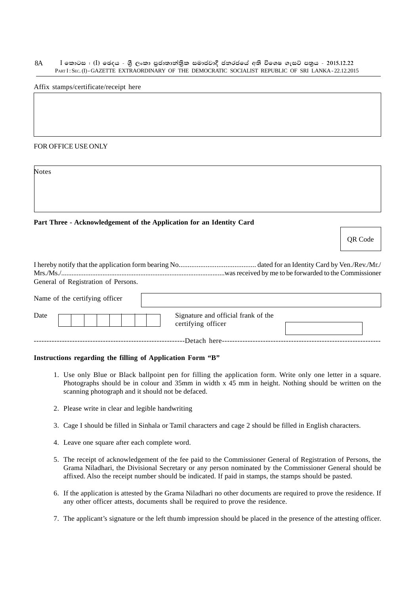$I$  කොටස : (I) ඡෙදය - ශීූ ලංකා පුජාතාන්තිුක සමාජවාදී ජනරජයේ අති විශෙෂ ගැසට් පතුය - 2015.12.22 PART I: SEC. (I) - GAZETTE EXTRAORDINARY OF THE DEMOCRATIC SOCIALIST REPUBLIC OF SRI LANKA - 22.12.2015 8A

Affix stamps/certificate/receipt here

FOR OFFICE USE ONLY

Notes

#### **Part Three - Acknowledgement of the Application for an Identity Card**

QR Code

| General of Registration of Persons. |  |
|-------------------------------------|--|

| Name of the certifying officer |                                                           |  |
|--------------------------------|-----------------------------------------------------------|--|
| Date                           | Signature and official frank of the<br>certifying officer |  |
|                                | -Detach here-                                             |  |

#### **Instructions regarding the filling of Application Form "B"**

- 1. Use only Blue or Black ballpoint pen for filling the application form. Write only one letter in a square. Photographs should be in colour and 35mm in width x 45 mm in height. Nothing should be written on the scanning photograph and it should not be defaced.
- 2. Please write in clear and legible handwriting
- 3. Cage I should be filled in Sinhala or Tamil characters and cage 2 should be filled in English characters.
- 4. Leave one square after each complete word.
- 5. The receipt of acknowledgement of the fee paid to the Commissioner General of Registration of Persons, the Grama Niladhari, the Divisional Secretary or any person nominated by the Commissioner General should be affixed. Also the receipt number should be indicated. If paid in stamps, the stamps should be pasted.
- 6. If the application is attested by the Grama Niladhari no other documents are required to prove the residence. If any other officer attests, documents shall be required to prove the residence.
- 7. The applicant's signature or the left thumb impression should be placed in the presence of the attesting officer.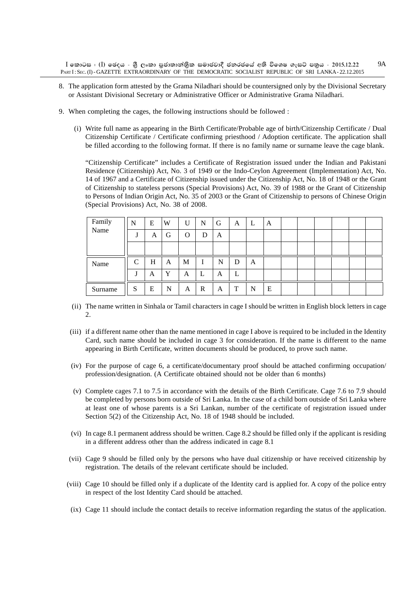- 8. The application form attested by the Grama Niladhari should be countersigned only by the Divisional Secretary or Assistant Divisional Secretary or Administrative Officer or Administrative Grama Niladhari.
- 9. When completing the cages, the following instructions should be followed :
	- (i) Write full name as appearing in the Birth Certificate/Probable age of birth/Citizenship Certificate / Dual Citizenship Certificate / Certificate confirming priesthood / Adoption certificate. The application shall be filled according to the following format. If there is no family name or surname leave the cage blank.

"Citizenship Certificate" includes a Certificate of Registration issued under the Indian and Pakistani Residence (Citizenship) Act, No. 3 of 1949 or the Indo-Ceylon Agreeement (Implementation) Act, No. 14 of 1967 and a Certificate of Citizenship issued under the Citizenship Act, No. 18 of 1948 or the Grant of Citizenship to stateless persons (Special Provisions) Act, No. 39 of 1988 or the Grant of Citizenship to Persons of Indian Origin Act, No. 35 of 2003 or the Grant of Citizenship to persons of Chinese Origin (Special Provisions) Act, No. 38 of 2008.

| Family<br>Name | N               | E | W | U | N  | G | A | ┶ | A |  |  |  |
|----------------|-----------------|---|---|---|----|---|---|---|---|--|--|--|
|                | .,              | A | G | O | D  | A |   |   |   |  |  |  |
|                |                 |   |   |   |    |   |   |   |   |  |  |  |
| Name           | $\sqrt{ }$<br>◡ | H | A | M | л. | N | D | A |   |  |  |  |
|                | J               | A | Y | A | ┺  | А | ∸ |   |   |  |  |  |
| Surname        | S               | E | N | A | R  | A | T | N | E |  |  |  |

- (ii) The name written in Sinhala or Tamil characters in cage I should be written in English block letters in cage  $\mathcal{D}$
- (iii) if a different name other than the name mentioned in cage I above is required to be included in the Identity Card, such name should be included in cage 3 for consideration. If the name is different to the name appearing in Birth Certificate, written documents should be produced, to prove such name.
- (iv) For the purpose of cage 6, a certificate/documentary proof should be attached confirming occupation/ profession/designation. (A Certificate obtained should not be older than 6 months)
- (v) Complete cages 7.1 to 7.5 in accordance with the details of the Birth Certificate. Cage 7.6 to 7.9 should be completed by persons born outside of Sri Lanka. In the case of a child born outside of Sri Lanka where at least one of whose parents is a Sri Lankan, number of the certificate of registration issued under Section 5(2) of the Citizenship Act, No. 18 of 1948 should be included.
- (vi) In cage 8.1 permanent address should be written. Cage 8.2 should be filled only if the applicant is residing in a different address other than the address indicated in cage 8.1
- (vii) Cage 9 should be filled only by the persons who have dual citizenship or have received citizenship by registration. The details of the relevant certificate should be included.
- (viii) Cage 10 should be filled only if a duplicate of the Identity card is applied for. A copy of the police entry in respect of the lost Identity Card should be attached.
- (ix) Cage 11 should include the contact details to receive information regarding the status of the application.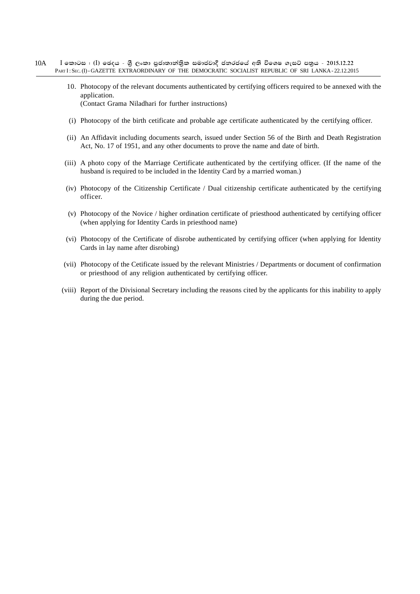- $I$  කොටස : (I) ඡෙදය ශීූ ලංකා පුජාතාන්තිුක සමාජවාදී ජනරජයේ අති විශෙෂ ගැසට් පතුය 2015.12.22 PART I: SEC. (I) - GAZETTE EXTRAORDINARY OF THE DEMOCRATIC SOCIALIST REPUBLIC OF SRI LANKA - 22.12.2015 10A
	- 10. Photocopy of the relevant documents authenticated by certifying officers required to be annexed with the application. (Contact Grama Niladhari for further instructions)
	- (i) Photocopy of the birth cetificate and probable age certificate authenticated by the certifying officer.
	- (ii) An Affidavit including documents search, issued under Section 56 of the Birth and Death Registration Act, No. 17 of 1951, and any other documents to prove the name and date of birth.
	- (iii) A photo copy of the Marriage Certificate authenticated by the certifying officer. (If the name of the husband is required to be included in the Identity Card by a married woman.)
	- (iv) Photocopy of the Citizenship Certificate / Dual citizenship certificate authenticated by the certifying officer.
	- (v) Photocopy of the Novice / higher ordination certificate of priesthood authenticated by certifying officer (when applying for Identity Cards in priesthood name)
	- (vi) Photocopy of the Certificate of disrobe authenticated by certifying officer (when applying for Identity Cards in lay name after disrobing)
	- (vii) Photocopy of the Cetificate issued by the relevant Ministries / Departments or document of confirmation or priesthood of any religion authenticated by certifying officer.
	- (viii) Report of the Divisional Secretary including the reasons cited by the applicants for this inability to apply during the due period.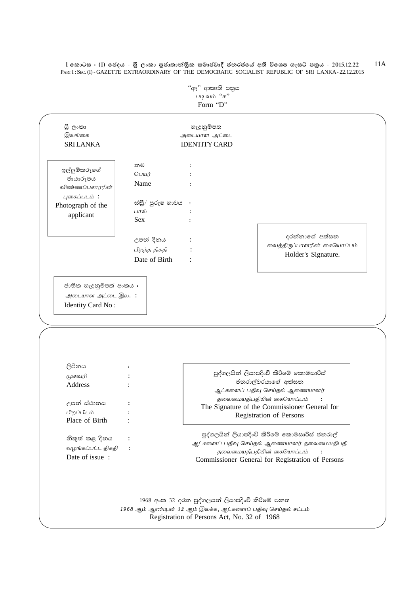PARTI: SEC. (I) - GAZETTE EXTRAORDINARY OF THE DEMOCRATIC SOCIALIST REPUBLIC OF SRI LANKA-22.12.2015 "ඇ" ආකෘති පතුය படிவம் "ஈ" Form "D" ගී ලංකා හැදුනුම්පත இலங்கை அடையாள அட்டை **SRILANKA IDENTITY CARD** නම  $\cdot$ ඉල්ලුම්කරුගේ பெயர்  $\pm$ ජායාරුපය Name  $\cdot$ : விண்ணப்பகாரரின் புகைப்படம்: ස්තුී/ පුරුෂ හාවය : Photograph of the பால்  $\cdot$ applicant Sex  $\cdot$ දරන්නාගේ අත්සන උපන් දිනය  $\cdot$ வைத்திருப்பாளரின் கையொப்பம் பிறந்த திகதி  $\cdot$ Holder's Signature. Date of Birth  $\cdot$ ජාතික හැදුනුම්පත් අංකය : அடையாள அட்டை இல. : Identity Card No: ලිපිනය  $\cdot$ පුද්ගලයින් ලියාපදිංචි කිරිමේ කොමසාරිස් முகவரி  $\cdot$ ජනරාල්වරයාගේ අත්සන Address  $\cdot$ ஆட்களைப் பதிவு செய்தல் ஆணையாளர் தலைமையதிபதியின் கையொப்பம்  $\cdot$ : උපන් ස්ථානය  $\div$ The Signature of the Commissioner General for பிறப்பிடம்  $\cdot$ Registration of Persons Place of Birth  $\cdot$ පුද්ගලයින් ලියාපදිංචි කිරිමේ කොමසාරිස් ජනරාල් නිකුත් කළ දිනය  $\ddot{\cdot}$ ஆட்களைப் பதிவு செய்தல் ஆணையாளர் தலைமையதிபதி வழங்கப்பட்ட திகதி  $\cdot$ தலைமையதிபதியின் கையொப்பம்  $\cdot$ : Date of issue: Commissioner General for Registration of Persons 1968 අංක 32 දරන පුද්ගලයන් ලියාපදිංචි කිරිමේ පනත 1968 ஆம் ஆண்டின் 32 ஆம் இலக்க, ஆட்களைப் பதிவு செய்தல் சட்டம் Registration of Persons Act, No. 32 of 1968

 $I$  කොටස : ( $I$ ) ඡෙදය - ශුී ලංකා පුජාතාන්තිුක සමාජවාදී ජනරජයේ අති විශෙෂ ගැසට් පතුය - 2015.12.22

 $11A$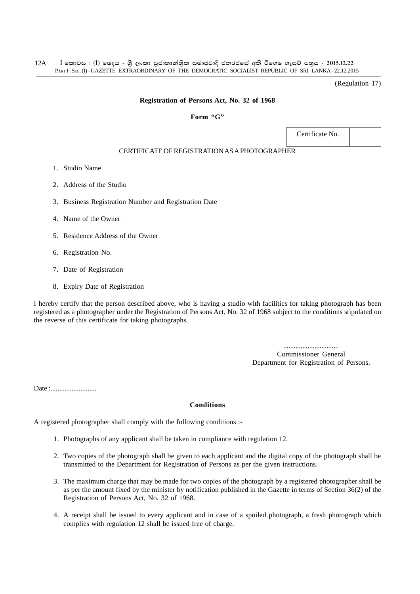(Regulation 17)

#### **Registration of Persons Act, No. 32 of 1968**

#### **Form "G"**

Certificate No.

### CERTIFICATE OF REGISTRATION AS A PHOTOGRAPHER

- 1. Studio Name
- 2. Address of the Studio
- 3. Business Registration Number and Registration Date
- 4. Name of the Owner
- 5. Residence Address of the Owner
- 6. Registration No.
- 7. Date of Registration
- 8. Expiry Date of Registration

I hereby certify that the person described above, who is having a studio with facilities for taking photograph has been registered as a photographer under the Registration of Persons Act, No. 32 of 1968 subject to the conditions stipulated on the reverse of this certificate for taking photographs.

> ................................ Commissioner General Department for Registration of Persons.

Date :..........................

#### **Conditions**

A registered photographer shall comply with the following conditions :-

- 1. Photographs of any applicant shall be taken in compliance with regulation 12.
- 2. Two copies of the photograph shall be given to each applicant and the digital copy of the photograph shall be transmitted to the Department for Registration of Persons as per the given instructions.
- 3. The maximum charge that may be made for two copies of the photograph by a registered photographer shall be as per the amount fixed by the minister by notification published in the Gazette in terms of Section 36(2) of the Registration of Persons Act, No. 32 of 1968.
- 4. A receipt shall be issued to every applicant and in case of a spoiled photograph, a fresh photograph which complies with regulation 12 shall be issued free of charge.